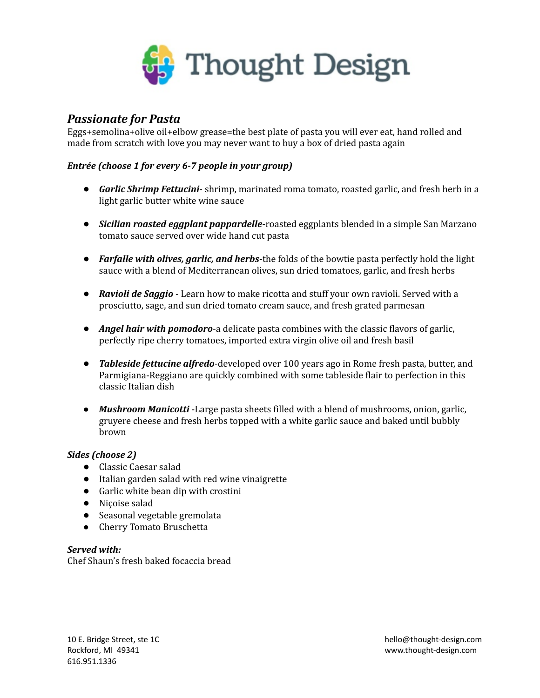

## *Passionate for Pasta*

Eggs+semolina+olive oil+elbow grease=the best plate of pasta you will ever eat, hand rolled and made from scratch with love you may never want to buy a box of dried pasta again

## *Entrée (choose 1 for every 6-7 people in your group)*

- *Garlic Shrimp Fettucini* shrimp, marinated roma tomato, roasted garlic, and fresh herb in a light garlic butter white wine sauce
- *Sicilian roasted eggplant pappardelle*-roasted eggplants blended in a simple San Marzano tomato sauce served over wide hand cut pasta
- *Farfalle with olives, garlic, and herbs*-the folds of the bowtie pasta perfectly hold the light sauce with a blend of Mediterranean olives, sun dried tomatoes, garlic, and fresh herbs
- *Ravioli de Saggio* Learn how to make ricotta and stuff your own ravioli. Served with a prosciutto, sage, and sun dried tomato cream sauce, and fresh grated parmesan
- *Angel hair with pomodoro*-a delicate pasta combines with the classic flavors of garlic, perfectly ripe cherry tomatoes, imported extra virgin olive oil and fresh basil
- *Tableside fettucine alfredo*-developed over 100 years ago in Rome fresh pasta, butter, and Parmigiana-Reggiano are quickly combined with some tableside flair to perfection in this classic Italian dish
- *Mushroom Manicotti* -Large pasta sheets filled with a blend of mushrooms, onion, garlic, gruyere cheese and fresh herbs topped with a white garlic sauce and baked until bubbly brown

## *Sides (choose 2)*

- Classic Caesar salad
- Italian garden salad with red wine vinaigrette
- Garlic white bean dip with crostini
- Niçoise salad
- Seasonal vegetable gremolata
- Cherry Tomato Bruschetta

*Served with:* Chef Shaun's fresh baked focaccia bread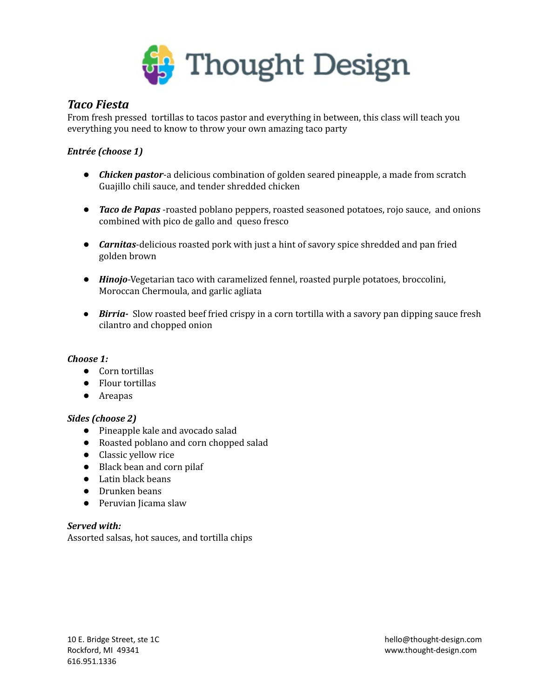

## *Taco Fiesta*

From fresh pressed tortillas to tacos pastor and everything in between, this class will teach you everything you need to know to throw your own amazing taco party

## *Entrée (choose 1)*

- *Chicken pastor*-a delicious combination of golden seared pineapple, a made from scratch Guajillo chili sauce, and tender shredded chicken
- *Taco de Papas* -roasted poblano peppers, roasted seasoned potatoes, rojo sauce, and onions combined with pico de gallo and queso fresco
- *Carnitas*-delicious roasted pork with just a hint of savory spice shredded and pan fried golden brown
- *Hinojo*-Vegetarian taco with caramelized fennel, roasted purple potatoes, broccolini, Moroccan Chermoula, and garlic agliata
- *Birria-* Slow roasted beef fried crispy in a corn tortilla with a savory pan dipping sauce fresh cilantro and chopped onion

## *Choose 1:*

- Corn tortillas
- Flour tortillas
- Areapas

## *Sides (choose 2)*

- Pineapple kale and avocado salad
- Roasted poblano and corn chopped salad
- Classic yellow rice
- Black bean and corn pilaf
- Latin black beans
- Drunken beans
- Peruvian Jicama slaw

## *Served with:*

Assorted salsas, hot sauces, and tortilla chips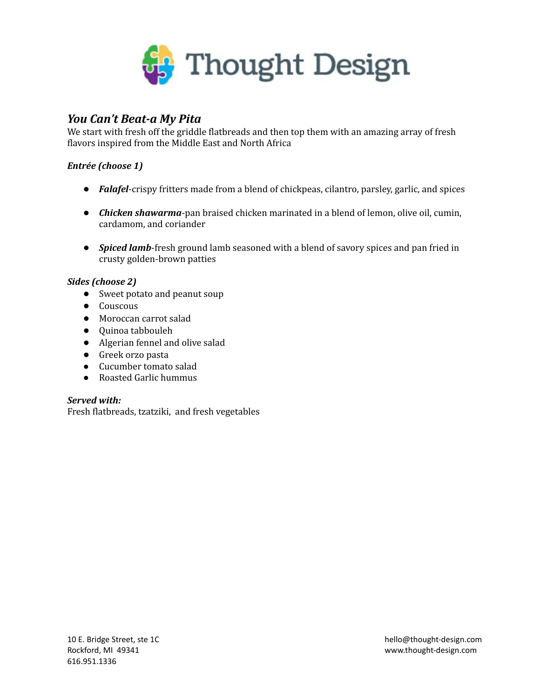

## *You Can't Beat-a My Pita*

We start with fresh off the griddle flatbreads and then top them with an amazing array of fresh flavors inspired from the Middle East and North Africa

## *Entrée (choose 1)*

- *Falafel*-crispy fritters made from a blend of chickpeas, cilantro, parsley, garlic, and spices
- *Chicken shawarma*-pan braised chicken marinated in a blend of lemon, olive oil, cumin, cardamom, and coriander
- *Spiced lamb*-fresh ground lamb seasoned with a blend of savory spices and pan fried in crusty golden-brown patties

## *Sides (choose 2)*

- Sweet potato and peanut soup
- Couscous
- Moroccan carrot salad
- Quinoa tabbouleh
- Algerian fennel and olive salad
- Greek orzo pasta
- Cucumber tomato salad
- Roasted Garlic hummus

## *Served with:*

Fresh flatbreads, tzatziki, and fresh vegetables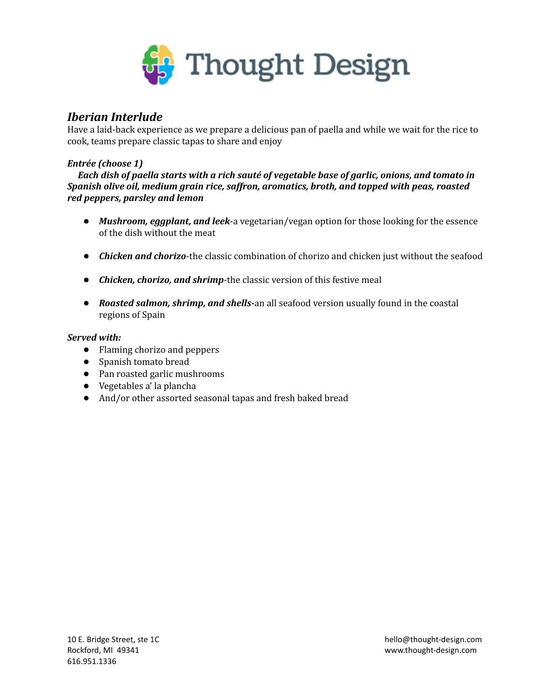

## *Iberian Interlude*

Have a laid-back experience as we prepare a delicious pan of paella and while we wait for the rice to cook, teams prepare classic tapas to share and enjoy

### *Entrée (choose 1)*

*Each dish of paella starts with a rich sauté of vegetable base of garlic, onions, and tomato in Spanish olive oil, medium grain rice, saffron, aromatics, broth, and topped with peas, roasted red peppers, parsley and lemon*

- *Mushroom, eggplant, and leek*-a vegetarian/vegan option for those looking for the essence of the dish without the meat
- *Chicken and chorizo*-the classic combination of chorizo and chicken just without the seafood
- *Chicken, chorizo, and shrimp*-the classic version of this festive meal
- *Roasted salmon, shrimp, and shells-*an all seafood version usually found in the coastal regions of Spain

#### *Served with:*

- Flaming chorizo and peppers
- Spanish tomato bread
- Pan roasted garlic mushrooms
- Vegetables a' la plancha
- And/or other assorted seasonal tapas and fresh baked bread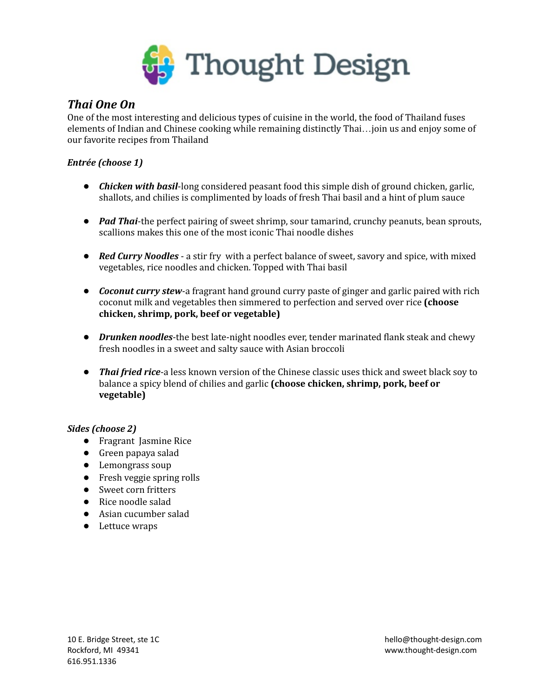

## *Thai One On*

One of the most interesting and delicious types of cuisine in the world, the food of Thailand fuses elements of Indian and Chinese cooking while remaining distinctly Thai…join us and enjoy some of our favorite recipes from Thailand

## *Entrée (choose 1)*

- *Chicken with basil*-long considered peasant food this simple dish of ground chicken, garlic, shallots, and chilies is complimented by loads of fresh Thai basil and a hint of plum sauce
- *Pad Thai*-the perfect pairing of sweet shrimp, sour tamarind, crunchy peanuts, bean sprouts, scallions makes this one of the most iconic Thai noodle dishes
- *Red Curry Noodles* a stir fry with a perfect balance of sweet, savory and spice, with mixed vegetables, rice noodles and chicken. Topped with Thai basil
- *Coconut curry stew*-a fragrant hand ground curry paste of ginger and garlic paired with rich coconut milk and vegetables then simmered to perfection and served over rice **(choose chicken, shrimp, pork, beef or vegetable)**
- *Drunken noodles*-the best late-night noodles ever, tender marinated flank steak and chewy fresh noodles in a sweet and salty sauce with Asian broccoli
- *Thai fried rice*-a less known version of the Chinese classic uses thick and sweet black soy to balance a spicy blend of chilies and garlic **(choose chicken, shrimp, pork, beef or vegetable)**

## *Sides (choose 2)*

- Fragrant Jasmine Rice
- Green papaya salad
- Lemongrass soup
- Fresh veggie spring rolls
- Sweet corn fritters
- Rice noodle salad
- Asian cucumber salad
- Lettuce wraps